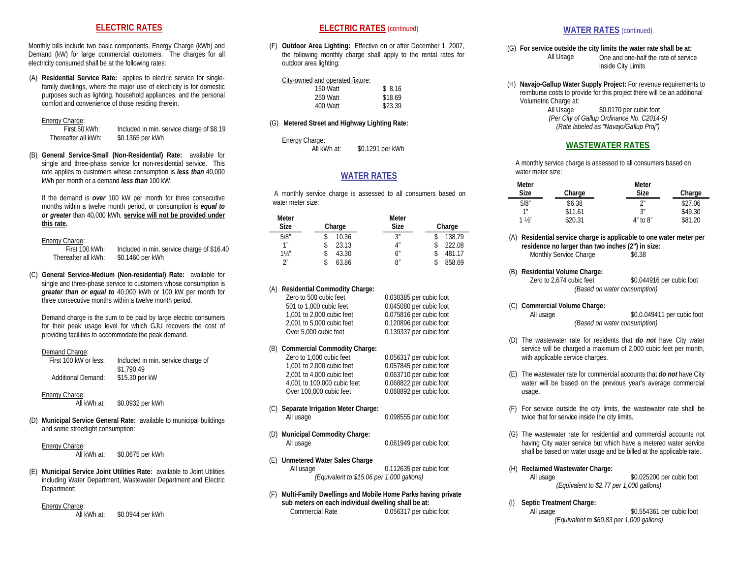### **ELECTRIC RATES**

Monthly bills include two basic components, Energy Charge (kWh) and Demand (kW) for large commercial customers. The charges for all electricity consumed shall be at the following rates:

(A) **Residential Service Rate:** applies to electric service for singlefamily dwellings, where the major use of electricity is for domestic purposes such as lighting, household appliances, and the personal comfort and convenience of those residing therein.

#### Energy Charge:

First 50 kWh: Included in min. service charge of \$8.19<br>Thereafter all kWh: \$0.1365 per kWh \$0.1365 per kWh

(B) **General Service-Small (Non-Residential) Rate:** available for single and three-phase service for non-residential service. This rate applies to customers whose consumption is *less than* 40,000 kWh per month or a demand *less than* 100 kW.

If the demand is *over* 100 kW per month for three consecutive months within a twelve month period, or consumption is *equal to or greater* than 40,000 kWh, **service will not be provided under this rate.**

# Energy Charge:<br>First 100 kWh:

First 100 kWh: Included in min. service charge of \$16.40<br>Thereafter all kWh: \$0.1460 per kWh \$0.1460 per kWh

(C) **General Service-Medium (Non-residential) Rate:** available for single and three-phase service to customers whose consumption is *greater than or equal to* 40,000 kWh or 100 kW per month for three consecutive months within a twelve month period.

Demand charge is the sum to be paid by large electric consumers for their peak usage level for which GJU recovers the cost of providing facilities to accommodate the peak demand.

Demand Charge:<br>First 100 kW or less: Included in min. service charge of \$1,790.49 Additional Demand: \$15.30 per kW

# Energy Charge:<br>All kWh at:

\$0.0932 per kWh

(D) **Municipal Service General Rate:** available to municipal buildings and some streetlight consumption:

### Energy Charge:

All kWh at: \$0.0675 per kWh

(E) **Municipal Service Joint Utilities Rate:** available to Joint Utilities including Water Department, Wastewater Department and Electric Department:

#### Energy Charge:

All kWh at: \$0.0944 per kWh

### **ELECTRIC RATES** (continued)

(F) **Outdoor Area Lighting:** Effective on or after December 1, 2007, the following monthly charge shall apply to the rental rates for outdoor area lighting:

#### City-owned and operated fixture:

| 150 Watt | \$8.16  |
|----------|---------|
| 250 Watt | \$18.69 |
| 400 Watt | \$23.39 |

#### (G) **Metered Street and Highway Lighting Rate:**

Energy Charge:

All kWh at: \$0.1291 per kWh

### **WATER RATES**

A monthly service charge is assessed to all consumers based on water meter size:

| Meter           |        | Meter |        |
|-----------------|--------|-------|--------|
| <b>Size</b>     | Charge | Size  | Charge |
| 5/8"            | 10.36  | 3″    | 138.79 |
| 1 <sup>II</sup> | 23.13  | 4"    | 222.08 |
| $1\frac{1}{2}$  | 43.30  | 6"    | 481.17 |
| 2 <sup>n</sup>  | 63.86  | 8″    | 858.69 |

#### **Residential Commodity Charge:**

| Zero to 500 cubic feet    | 0.030385 per cubic foot |
|---------------------------|-------------------------|
| 501 to 1.000 cubic feet   | 0.045080 per cubic foot |
| 1.001 to 2.000 cubic feet | 0.075816 per cubic foot |
| 2.001 to 5.000 cubic feet | 0.120896 per cubic foot |
| Over 5.000 cubic feet     | 0.139337 per cubic foot |
|                           |                         |

#### (B) **Commercial Commodity Charge:**

| Zero to 1,000 cubic feet    | 0.056317 per cubic foot |
|-----------------------------|-------------------------|
| 1.001 to 2.000 cubic feet   | 0.057845 per cubic foot |
| 2.001 to 4.000 cubic feet   | 0.063710 per cubic foot |
| 4.001 to 100.000 cubic feet | 0.068822 per cubic foot |
| Over 100,000 cubic feet     | 0.068892 per cubic foot |

- (C) **Separate Irrigation Meter Charge:** All usage 0.098555 per cubic foot
- (D) **Municipal Commodity Charge:** All usage 0.061949 per cubic foot
- (E) **Unmetered Water Sales Charge**

| All usage | 0.112635 per cubic foot                   |
|-----------|-------------------------------------------|
|           | (Equivalent to \$15.06 per 1,000 gallons) |

(F) **Multi-Family Dwellings and Mobile Home Parks having private sub meters on each individual dwelling shall be at:** 0.056317 per cubic foot

### **WATER RATES** (continued)

(G) **For service outside the city limits the water rate shall be at:** One and one-half the rate of service inside City Limits

(H) **Navajo-Gallup Water Supply Project:** For revenue requirements to reimburse costs to provide for this project there will be an additional Volumetric Charge at:

> All Usage \$0.0170 per cubic foot *(Per City of Gallup Ordinance No. C2014-5) (Rate labeled as "Navajo/Gallup Proj")*

## **WASTEWATER RATES**

A monthly service charge is assessed to all consumers based on water meter size:

| Meter           |         | Meter        |         |
|-----------------|---------|--------------|---------|
| <b>Size</b>     | Charge  | Size         | Charge  |
| 5/8"            | \$6.38  | າ″           | \$27.06 |
| 1 <sup>''</sup> | \$11.61 | الح          | \$49.30 |
| $1\frac{1}{2}$  | \$20.31 | $4"$ to $8"$ | \$81.20 |

(A) **Residential service charge is applicable to one water meter per residence no larger than two inches (2") in size:** Monthly Service Charge \$6.38

# (B) **Residential Volume Charge:**

\$0.044916 per cubic foot *(Based on water consumption)*

# (C) **Commercial Volume Charge:**

\$0.0.049411 per cubic foot *(Based on water consumption)*

- (D) The wastewater rate for residents that *do not* have City water service will be charged a maximum of 2,000 cubic feet per month, with applicable service charges.
- (E) The wastewater rate for commercial accounts that *do not* have City water will be based on the previous year's average commercial usage.
- (F) For service outside the city limits, the wastewater rate shall be twice that for service inside the city limits.
- (G) The wastewater rate for residential and commercial accounts not having City water service but which have a metered water service shall be based on water usage and be billed at the applicable rate.

# (H) **Reclaimed Wastewater Charge:**

\$0.025200 per cubic foot *(Equivalent to \$2.77 per 1,000 gallons)*

# (I) **Septic Treatment Charge:**

\$0.554361 per cubic foot *(Equivalent to \$60.83 per 1,000 gallons)*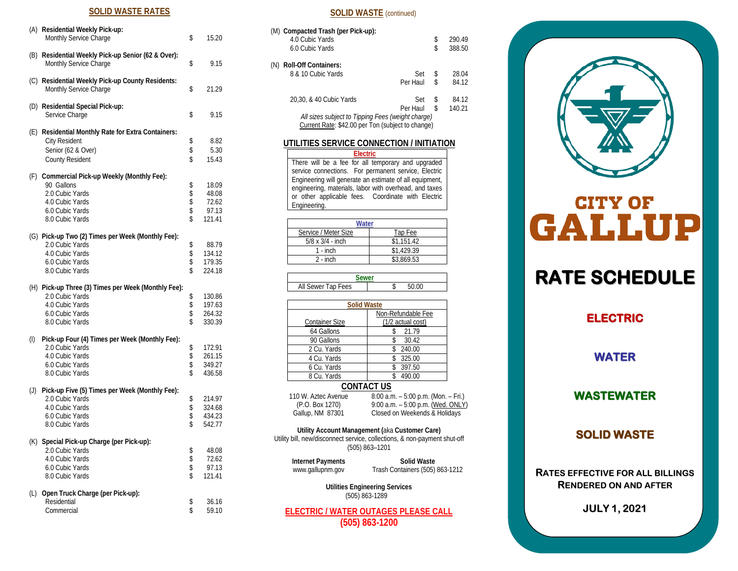## **SOLID WASTE RATES**

|          | (A) Residential Weekly Pick-up:<br>Monthly Service Charge                    | \$       | 15.20            |
|----------|------------------------------------------------------------------------------|----------|------------------|
|          | (B) Residential Weekly Pick-up Senior (62 & Over):<br>Monthly Service Charge | \$       | 9.15             |
|          | (C) Residential Weekly Pick-up County Residents:<br>Monthly Service Charge   | \$       | 21.29            |
|          | (D) Residential Special Pick-up:<br>Service Charge                           | \$       | 9.15             |
|          | (E) Residential Monthly Rate for Extra Containers:                           |          |                  |
|          | <b>City Resident</b><br>Senior (62 & Over)                                   | \$<br>\$ | 8.82<br>5.30     |
|          | <b>County Resident</b>                                                       | \$       | 15.43            |
|          | (F) Commercial Pick-up Weekly (Monthly Fee):                                 |          |                  |
|          | 90 Gallons                                                                   |          | 18.09            |
|          | 2.0 Cubic Yards                                                              | \$\$\$   | 48.08            |
|          | 4.0 Cubic Yards<br>6.0 Cubic Yards                                           |          | 72.62<br>97.13   |
|          | 8.0 Cubic Yards                                                              | \$       | 121.41           |
|          | (G) Pick-up Two (2) Times per Week (Monthly Fee):                            |          |                  |
|          | 2.0 Cubic Yards                                                              | \$       | 88.79            |
|          | 4.0 Cubic Yards<br>6.0 Cubic Yards                                           | \$<br>\$ | 134.12<br>179.35 |
|          | 8.0 Cubic Yards                                                              | \$       | 224.18           |
|          | (H) Pick-up Three (3) Times per Week (Monthly Fee):                          |          |                  |
|          | 2.0 Cubic Yards                                                              | \$<br>\$ | 130.86           |
|          | 4.0 Cubic Yards<br>6.0 Cubic Yards                                           | \$       | 197.63<br>264.32 |
|          | 8.0 Cubic Yards                                                              | \$       | 330.39           |
| $^{(1)}$ | Pick-up Four (4) Times per Week (Monthly Fee):                               |          |                  |
|          | 2.0 Cubic Yards                                                              | \$       | 172.91           |
|          | 4.0 Cubic Yards                                                              | \$       | 261.15           |
|          | 6.0 Cubic Yards<br>8.0 Cubic Yards                                           | \$<br>\$ | 349.27<br>436.58 |
| (J)      | Pick-up Five (5) Times per Week (Monthly Fee):                               |          |                  |
|          | 2.0 Cubic Yards                                                              | \$       | 214.97           |
|          | 4.0 Cubic Yards                                                              | \$       | 324.68           |
|          | 6.0 Cubic Yards<br>8.0 Cubic Yards                                           | \$<br>\$ | 434.23<br>542.77 |
|          |                                                                              |          |                  |
|          | (K) Special Pick-up Charge (per Pick-up):<br>2.0 Cubic Yards                 |          | 48.08            |
|          | 4.0 Cubic Yards                                                              | \$\$     | 72.62            |
|          | 6.0 Cubic Yards                                                              |          | 97.13            |
|          | 8.0 Cubic Yards                                                              | \$       | 121.41           |
| (L)      | Open Truck Charge (per Pick-up):                                             |          |                  |
|          | Residential                                                                  | \$       | 36.16            |
|          | Commercial                                                                   | \$       | 59.10            |

| <b>SOLID WASTE</b> (continued)                                                                                                                                                                                                                                                                                           |                                     |          |                  |  |  |  |
|--------------------------------------------------------------------------------------------------------------------------------------------------------------------------------------------------------------------------------------------------------------------------------------------------------------------------|-------------------------------------|----------|------------------|--|--|--|
| (M) Compacted Trash (per Pick-up):<br>4.0 Cubic Yards<br>6.0 Cubic Yards                                                                                                                                                                                                                                                 |                                     | \$<br>\$ | 290.49<br>388.50 |  |  |  |
| (N) Roll-Off Containers:<br>8 & 10 Cubic Yards                                                                                                                                                                                                                                                                           | Set<br>Per Haul                     | \$<br>\$ | 28.04<br>84.12   |  |  |  |
| 20,30, & 40 Cubic Yards<br>All sizes subject to Tipping Fees (weight charge)<br>Current Rate: \$42.00 per Ton (subject to change)                                                                                                                                                                                        | Set<br>Per Haul                     | \$<br>\$ | 84.12<br>140.21  |  |  |  |
| UTILITIES SERVICE CONNECTION / INITIATION                                                                                                                                                                                                                                                                                |                                     |          |                  |  |  |  |
| <b>Electric</b><br>There will be a fee for all temporary and upgraded<br>service connections. For permanent service, Electric<br>Engineering will generate an estimate of all equipment,<br>engineering, materials, labor with overhead, and taxes<br>or other applicable fees. Coordinate with Electric<br>Engineering. |                                     |          |                  |  |  |  |
|                                                                                                                                                                                                                                                                                                                          |                                     |          |                  |  |  |  |
| Water                                                                                                                                                                                                                                                                                                                    |                                     |          |                  |  |  |  |
| Service / Meter Size                                                                                                                                                                                                                                                                                                     | Tap Fee                             |          |                  |  |  |  |
| $5/8 \times 3/4 -$ inch                                                                                                                                                                                                                                                                                                  | \$1,151.42                          |          |                  |  |  |  |
| $1 - inch$                                                                                                                                                                                                                                                                                                               | \$1,429.39                          |          |                  |  |  |  |
| \$3,869.53<br>$2 - inch$                                                                                                                                                                                                                                                                                                 |                                     |          |                  |  |  |  |
| Sewer                                                                                                                                                                                                                                                                                                                    |                                     |          |                  |  |  |  |
| All Sewer Tap Fees                                                                                                                                                                                                                                                                                                       | \$<br>50.00                         |          |                  |  |  |  |
| <b>Solid Waste</b>                                                                                                                                                                                                                                                                                                       |                                     |          |                  |  |  |  |
|                                                                                                                                                                                                                                                                                                                          | Non-Refundable Fee                  |          |                  |  |  |  |
| <b>Container Size</b>                                                                                                                                                                                                                                                                                                    | (1/2 actual cost)                   |          |                  |  |  |  |
| 64 Gallons                                                                                                                                                                                                                                                                                                               | 21.79<br>\$                         |          |                  |  |  |  |
| 90 Gallons                                                                                                                                                                                                                                                                                                               | \$<br>30.42                         |          |                  |  |  |  |
| 2 Cu. Yards                                                                                                                                                                                                                                                                                                              | \$<br>240.00                        |          |                  |  |  |  |
| 4 Cu. Yards                                                                                                                                                                                                                                                                                                              | 325.00<br>\$                        |          |                  |  |  |  |
| 6 Cu. Yards<br>8 Cu. Yards                                                                                                                                                                                                                                                                                               | \$<br>397.50<br>490.00<br>\$        |          |                  |  |  |  |
| <b>CONTACT US</b>                                                                                                                                                                                                                                                                                                        |                                     |          |                  |  |  |  |
| 110 W. Aztec Avenue                                                                                                                                                                                                                                                                                                      | 8:00 a.m. - 5:00 p.m. (Mon. - Fri.) |          |                  |  |  |  |
| (P.O. Box 1270)                                                                                                                                                                                                                                                                                                          | 9:00 a.m. - 5:00 p.m. (Wed. ONLY)   |          |                  |  |  |  |
| Gallup, NM 87301                                                                                                                                                                                                                                                                                                         | Closed on Weekends & Holidays       |          |                  |  |  |  |
| Utility Account Management (aka Customer Care)<br>Utility bill, new/disconnect service, collections, & non-payment shut-off<br>$(505) 863 - 1201$                                                                                                                                                                        |                                     |          |                  |  |  |  |
| <b>Internet Payments</b>                                                                                                                                                                                                                                                                                                 | Solid Waste                         |          |                  |  |  |  |
| www.gallupnm.gov<br>Trash Containers (505) 863-1212                                                                                                                                                                                                                                                                      |                                     |          |                  |  |  |  |
|                                                                                                                                                                                                                                                                                                                          |                                     |          |                  |  |  |  |
| <b>Utilities Engineering Services</b><br>(505) 863-1289                                                                                                                                                                                                                                                                  |                                     |          |                  |  |  |  |

**ELECTRIC / WATER OUTAGES PLEASE CALL (505) 863 -1200**